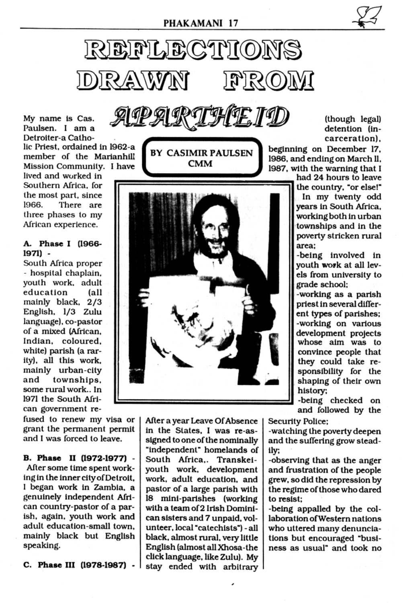

APARTHEID My name is Cas. Paulsen. I am a Detroiter-a Catholic Priest, ordained in 1962-a member of the Marianhill Mission Community. I have

lived and worked in Southern Africa, for the most part, since 1966. There are three phases to my African experience.

## A. Phase I (1966-1971) -

South Africa proper - hospital chaplain, youth work, adult education (all mainly black, 2/3 English, 1/3 Zulu language), co-pastor of a mixed (African, Indian, coloured. white) parish (a rarity), all this work, mainly urban-city townships, and some rural work.. In 1971 the South African government re-

fused to renew my visa or grant the permanent permit and I was forced to leave.





After a year Leave Of Absence in the States, I was re-assigned to one of the nominally "independent" homelands of South Africa,. Transkeiyouth work, development work, adult education, and pastor of a large parish with 18 mini-parishes (working with a team of 2 Irish Dominican sisters and 7 unpaid, volunteer, local "catechists") - all black, almost rural, very little English (almost all Xhosa-the click language, like Zulu). My stay ended with arbitrary (though legal) detention (incarceration).

beginning on December 17, 1986, and ending on March ll, 1987, with the warning that I

had 24 hours to leave the country, "or else!" In my twenty odd years in South Africa. working both in urban townships and in the poverty stricken rural area:

-being involved in youth work at all levels from university to grade school;

-working as a parish priest in several different types of parishes; -working on various development projects whose aim was to convince people that they could take responsibility for the shaping of their own history;

-being checked on and followed by the

**Security Police:** 

-watching the poverty deepen and the suffering grow steadily; -observing that as the anger and frustration of the people grew, so did the repression by the regime of those who dared to resist; -being appalled by the collaboration of Western nations who uttered many denunciations but encouraged "business as usual" and took no

B. Phase II (1972-1977) -After some time spent working in the inner city of Detroit, I began work in Zambia, a genuinely independent African country-pastor of a parish, again, youth work and adult education-small town. mainly black but English speaking.

C. Phase III (1978-1987) -